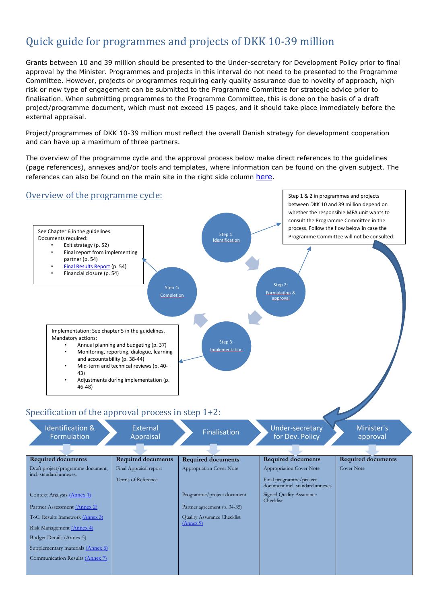## Quick guide for programmes and projects of DKK 10-39 million

Grants between 10 and 39 million should be presented to the Under-secretary for Development Policy prior to final approval by the Minister. Programmes and projects in this interval do not need to be presented to the Programme Committee. However, projects or programmes requiring early quality assurance due to novelty of approach, high risk or new type of engagement can be submitted to the Programme Committee for strategic advice prior to finalisation. When submitting programmes to the Programme Committee, this is done on the basis of a draft project/programme document, which must not exceed 15 pages, and it should take place immediately before the external appraisal.

Project/programmes of DKK 10-39 million must reflect the overall Danish strategy for development cooperation and can have up a maximum of three partners.

The overview of the programme cycle and the approval process below make direct references to the guidelines (page references), annexes and/or tools and templates, where information can be found on the given subject. The references can also be found on the main site in the right side column [here.](https://amg.um.dk/en/programmes-and-projects/guidelines-for-country-strategic-frameworks-programmes-and-projects/)